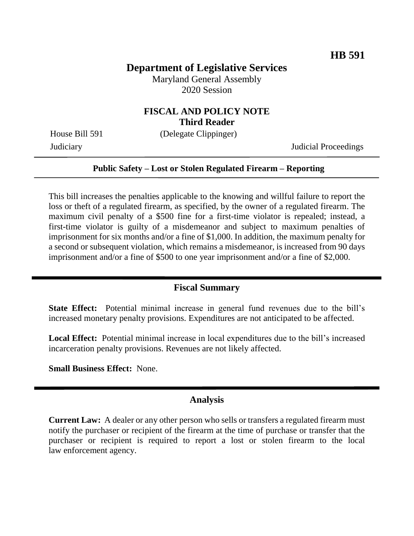## **Department of Legislative Services**

Maryland General Assembly 2020 Session

## **FISCAL AND POLICY NOTE Third Reader**

House Bill 591 (Delegate Clippinger)

Judiciary Judicial Proceedings

### **Public Safety – Lost or Stolen Regulated Firearm – Reporting**

This bill increases the penalties applicable to the knowing and willful failure to report the loss or theft of a regulated firearm, as specified, by the owner of a regulated firearm. The maximum civil penalty of a \$500 fine for a first-time violator is repealed; instead, a first-time violator is guilty of a misdemeanor and subject to maximum penalties of imprisonment for six months and/or a fine of \$1,000. In addition, the maximum penalty for a second or subsequent violation, which remains a misdemeanor, is increased from 90 days imprisonment and/or a fine of \$500 to one year imprisonment and/or a fine of \$2,000.

### **Fiscal Summary**

**State Effect:** Potential minimal increase in general fund revenues due to the bill's increased monetary penalty provisions. Expenditures are not anticipated to be affected.

**Local Effect:** Potential minimal increase in local expenditures due to the bill's increased incarceration penalty provisions. Revenues are not likely affected.

**Small Business Effect:** None.

### **Analysis**

**Current Law:** A dealer or any other person who sells or transfers a regulated firearm must notify the purchaser or recipient of the firearm at the time of purchase or transfer that the purchaser or recipient is required to report a lost or stolen firearm to the local law enforcement agency.